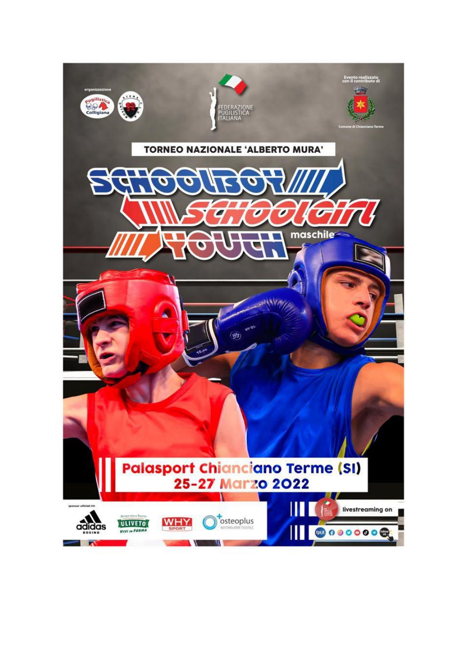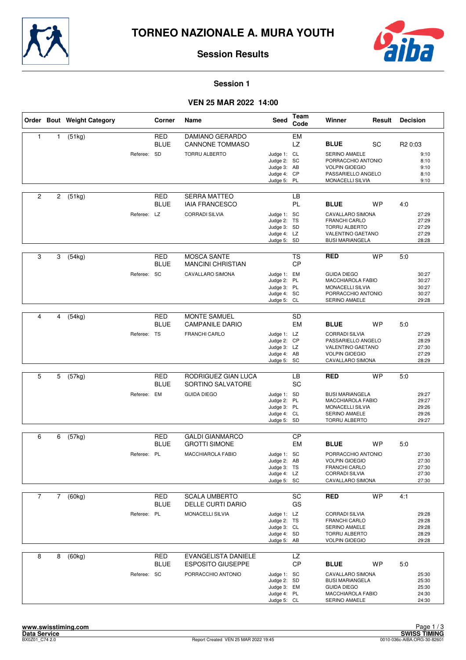



#### **Session 1**

# **VEN 25 MAR 2022 14:00**

|                |                | Order Bout Weight Category |             | Corner                    | Name                                                                         | Seed                                                                    | Team<br>Code    | Winner                                                                                                                         | Result    | <b>Decision</b>                                             |
|----------------|----------------|----------------------------|-------------|---------------------------|------------------------------------------------------------------------------|-------------------------------------------------------------------------|-----------------|--------------------------------------------------------------------------------------------------------------------------------|-----------|-------------------------------------------------------------|
| $\mathbf{1}$   | 1              | (51kg)                     | Referee: SD | <b>RED</b><br><b>BLUE</b> | <b>DAMIANO GERARDO</b><br><b>CANNONE TOMMASO</b><br>TORRU ALBERTO            | Judge 1: CL<br>Judge 2: SC<br>Judge 3: AB<br>Judge 4: CP<br>Judge 5: PL | EM<br>LZ        | <b>BLUE</b><br>SERINO AMAELE<br>PORRACCHIO ANTONIO<br><b>VOLPIN GIOEGIO</b><br>PASSARIELLO ANGELO<br>MONACELLI SILVIA          | SC        | R <sub>2</sub> 0:03<br>9:10<br>8:10<br>9:10<br>8:10<br>9:10 |
| $\overline{c}$ | 2              | (51kg)                     | Referee: LZ | RED<br><b>BLUE</b>        | <b>SERRA MATTEO</b><br><b>IAIA FRANCESCO</b><br><b>CORRADI SILVIA</b>        | Judge 1: SC<br>Judge 2: TS<br>Judge 3: SD<br>Judge 4: LZ<br>Judge 5: SD | LВ<br>PL        | <b>BLUE</b><br>CAVALLARO SIMONA<br><b>FRANCHI CARLO</b><br><b>TORRU ALBERTO</b><br>VALENTINO GAETANO<br><b>BUSI MARIANGELA</b> | <b>WP</b> | 4:0<br>27:29<br>27:29<br>27:29<br>27:29<br>28:28            |
| 3              | 3              | (54kg)                     | Referee: SC | RED<br><b>BLUE</b>        | <b>MOSCA SANTE</b><br><b>MANCINI CHRISTIAN</b><br>CAVALLARO SIMONA           | Judge 1: EM<br>Judge 2: PL<br>Judge 3: PL<br>Judge 4: SC<br>Judge 5: CL | <b>TS</b><br>CP | <b>RED</b><br><b>GUIDA DIEGO</b><br>MACCHIAROLA FABIO<br><b>MONACELLI SILVIA</b><br>PORRACCHIO ANTONIO<br>SERINO AMAELE        | <b>WP</b> | 5:0<br>30:27<br>30:27<br>30:27<br>30:27<br>29:28            |
| 4              | 4              | (54kg)                     | Referee: TS | <b>RED</b><br>BLUE        | <b>MONTE SAMUEL</b><br><b>CAMPANILE DARIO</b><br><b>FRANCHI CARLO</b>        | Judge 1: LZ<br>Judge 2: CP<br>Judge 3: LZ<br>Judge 4: AB<br>Judge 5: SC | <b>SD</b><br>EM | <b>BLUE</b><br><b>CORRADI SILVIA</b><br>PASSARIELLO ANGELO<br>VALENTINO GAETANO<br><b>VOLPIN GIOEGIO</b><br>CAVALLARO SIMONA   | WP        | 5:0<br>27:29<br>28:29<br>27:30<br>27:29<br>28:29            |
| 5              | 5              | $\overline{(57}$ kg)       | Referee: EM | <b>RED</b><br><b>BLUE</b> | RODRIGUEZ GIAN LUCA<br>SORTINO SALVATORE<br><b>GUIDA DIEGO</b>               | Judge 1: SD<br>Judge 2: PL<br>Judge 3: PL<br>Judge 4: CL<br>Judge 5: SD | LB<br>SC        | <b>RED</b><br><b>BUSI MARIANGELA</b><br>MACCHIAROLA FABIO<br>MONACELLI SILVIA<br>SERINO AMAELE<br>TORRU ALBERTO                | <b>WP</b> | 5:0<br>29:27<br>29:27<br>29:26<br>29:26<br>29:27            |
| 6              | 6              | (57kg)                     | Referee: PL | <b>RED</b><br><b>BLUE</b> | <b>GALDI GIANMARCO</b><br><b>GROTTI SIMONE</b><br><b>MACCHIAROLA FABIO</b>   | Judge 1: SC<br>Judge 2: AB<br>Judge 3: TS<br>Judge 4: LZ<br>Judge 5: SC | СP<br>EM        | <b>BLUE</b><br>PORRACCHIO ANTONIO<br><b>VOLPIN GIOEGIO</b><br>FRANCHI CARLO<br><b>CORRADI SILVIA</b><br>CAVALLARO SIMONA       | WP        | 5:0<br>27:30<br>27:30<br>27:30<br>27:30<br>27:30            |
| $\overline{7}$ | $\overline{7}$ | (60kg)                     | Referee: PL | RED<br><b>BLUE</b>        | <b>SCALA UMBERTO</b><br><b>DELLE CURTI DARIO</b><br>MONACELLI SILVIA         | Judge 1: LZ<br>Judge 2: TS<br>Judge 3: CL<br>Judge 4: SD<br>Judge 5: AB | SC<br>GS        | <b>RED</b><br><b>CORRADI SILVIA</b><br>FRANCHI CARLO<br>SERINO AMAELE<br><b>TORRU ALBERTO</b><br><b>VOLPIN GIOEGIO</b>         | <b>WP</b> | 4:1<br>29:28<br>29:28<br>29:28<br>28:29<br>29:28            |
| 8              | 8              | (60kg)                     | Referee: SC | <b>RED</b><br><b>BLUE</b> | <b>EVANGELISTA DANIELE</b><br><b>ESPOSITO GIUSEPPE</b><br>PORRACCHIO ANTONIO | Judge 1: SC<br>Judge 2: SD<br>Judge 3: EM<br>Judge 4: PL<br>Judge 5: CL | LZ<br>CP        | <b>BLUE</b><br>CAVALLARO SIMONA<br><b>BUSI MARIANGELA</b><br><b>GUIDA DIEGO</b><br>MACCHIAROLA FABIO<br>SERINO AMAELE          | WP        | 5:0<br>25:30<br>25:30<br>25:30<br>24:30<br>24:30            |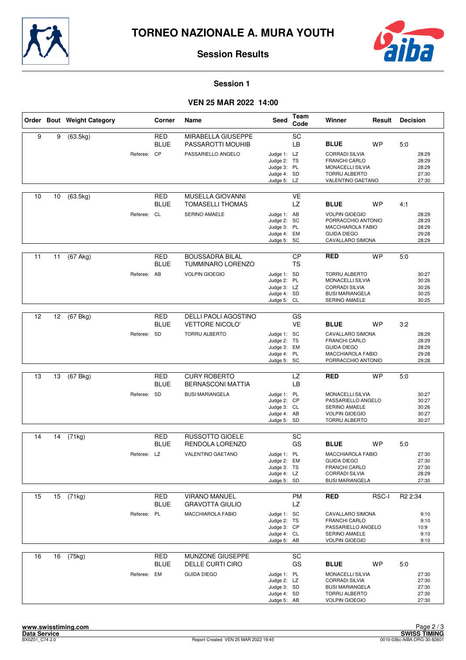



#### **Session 1**

# **VEN 25 MAR 2022 14:00**

|    |    | Order Bout Weight Category |             | Corner                    | Name                                                          | Seed                                                                    | Team<br>Code           | Winner                                                                                                                                 | Result    | <b>Decision</b>                                  |
|----|----|----------------------------|-------------|---------------------------|---------------------------------------------------------------|-------------------------------------------------------------------------|------------------------|----------------------------------------------------------------------------------------------------------------------------------------|-----------|--------------------------------------------------|
| 9  | 9  | (63.5kg)                   | Referee: CP | <b>RED</b><br><b>BLUE</b> | MIRABELLA GIUSEPPE<br>PASSAROTTI MOUHIB<br>PASSARIELLO ANGELO | Judge 1: LZ<br>Judge 2: TS<br>Judge 3: PL                               | SC<br>LB               | <b>BLUE</b><br><b>CORRADI SILVIA</b><br><b>FRANCHI CARLO</b><br><b>MONACELLI SILVIA</b>                                                | <b>WP</b> | 5:0<br>28:29<br>28:29<br>28:29                   |
|    |    |                            |             |                           |                                                               | Judge 4: SD<br>Judge 5:                                                 | LZ                     | TORRU ALBERTO<br>VALENTINO GAETANO                                                                                                     |           | 27:30<br>27:30                                   |
| 10 | 10 | (63.5kg)                   |             | <b>RED</b><br><b>BLUE</b> | <b>MUSELLA GIOVANNI</b><br><b>TOMASELLI THOMAS</b>            |                                                                         | <b>VE</b><br><b>LZ</b> | <b>BLUE</b>                                                                                                                            | <b>WP</b> | 4:1                                              |
|    |    |                            | Referee: CL |                           | SERINO AMAELE                                                 | Judge 1: AB<br>Judge 2: SC<br>Judge 3: PL<br>Judge 4: EM<br>Judge 5: SC |                        | <b>VOLPIN GIOEGIO</b><br>PORRACCHIO ANTONIO<br><b>MACCHIAROLA FABIO</b><br><b>GUIDA DIEGO</b><br>CAVALLARO SIMONA                      |           | 28:29<br>28:29<br>28:29<br>29:28<br>28:29        |
| 11 | 11 | $(67$ Akg)                 |             | <b>RED</b><br><b>BLUE</b> | <b>BOUSSADRA BILAL</b><br><b>TUMMINARO LORENZO</b>            |                                                                         | CP<br><b>TS</b>        | <b>RED</b>                                                                                                                             | <b>WP</b> | 5.0                                              |
|    |    |                            | Referee: AB |                           | <b>VOLPIN GIOEGIO</b>                                         | Judge 1: SD<br>Judge 2: PL<br>Judge 3: LZ<br>Judge 4: SD<br>Judge 5: CL |                        | <b>TORRU ALBERTO</b><br>MONACELLI SILVIA<br><b>CORRADI SILVIA</b><br><b>BUSI MARIANGELA</b><br>SERINO AMAELE                           |           | 30:27<br>30:26<br>30:26<br>30:25<br>30:25        |
| 12 | 12 | (67 Bkg)                   |             | <b>RED</b>                | <b>DELLI PAOLI AGOSTINO</b>                                   |                                                                         | GS                     |                                                                                                                                        |           |                                                  |
|    |    |                            | Referee: SD | BLUE                      | <b>VETTORE NICOLO'</b><br><b>TORRU ALBERTO</b>                | Judge 1: SC<br>Judge 2: TS<br>Judge 3: EM<br>Judge 4: PL<br>Judge 5: SC | <b>VE</b>              | <b>BLUE</b><br><b>CAVALLARO SIMONA</b><br><b>FRANCHI CARLO</b><br><b>GUIDA DIEGO</b><br><b>MACCHIAROLA FABIO</b><br>PORRACCHIO ANTONIO | <b>WP</b> | 3:2<br>28:29<br>28:29<br>28:29<br>29:28<br>29:28 |
|    |    |                            |             |                           |                                                               |                                                                         |                        |                                                                                                                                        |           |                                                  |
| 13 | 13 | (67 Bkg)                   |             | <b>RED</b><br><b>BLUE</b> | <b>CURY ROBERTO</b><br><b>BERNASCONI MATTIA</b>               |                                                                         | LZ<br>LB               | <b>RED</b>                                                                                                                             | <b>WP</b> | 5.0                                              |
|    |    |                            | Referee: SD |                           | <b>BUSI MARIANGELA</b>                                        | Judge 1: PL<br>Judge 2: CP<br>Judge 3: CL<br>Judge 4: AB<br>Judge 5: SD |                        | <b>MONACELLI SILVIA</b><br>PASSARIELLO ANGELO<br>SERINO AMAELE<br><b>VOLPIN GIOEGIO</b><br><b>TORRU ALBERTO</b>                        |           | 30:27<br>30:27<br>30:26<br>30:27<br>30:27        |
| 14 | 14 | (71kg)                     |             | <b>RED</b>                | <b>RUSSOTTO GIOELE</b>                                        |                                                                         | <b>SC</b>              |                                                                                                                                        |           |                                                  |
|    |    |                            | Referee: LZ | <b>BLUE</b>               | RENDOLA LORENZO<br><b>VALENTINO GAETANO</b>                   | Judge 1: PL                                                             | GS                     | <b>BLUE</b><br>MACCHIAROLA FABIO                                                                                                       | <b>WP</b> | 5:0<br>27:30                                     |
|    |    |                            |             |                           |                                                               | Judge 2:<br>Judge 3: TS<br>Judge 4: LZ<br>Judge 5: SD                   | EM                     | <b>GUIDA DIEGO</b><br>FRANCHI CARLO<br><b>CORRADI SILVIA</b><br><b>BUSI MARIANGELA</b>                                                 |           | 27:30<br>27:30<br>28:29<br>27:30                 |
| 15 | 15 | (71kg)                     |             | RED<br><b>BLUE</b>        | <b>VIRANO MANUEL</b><br><b>GRAVOTTA GIULIO</b>                |                                                                         | <b>PM</b><br>LZ        | <b>RED</b>                                                                                                                             | RSC-I     | R <sub>2</sub> 2:34                              |
|    |    |                            | Referee: PL |                           | MACCHIAROLA FABIO                                             | Judge 1: SC<br>Judge 2: TS<br>Judge 3: CP<br>Judge 4: CL<br>Judge 5: AB |                        | CAVALLARO SIMONA<br><b>FRANCHI CARLO</b><br>PASSARIELLO ANGELO<br><b>SERINO AMAELE</b><br><b>VOLPIN GIOEGIO</b>                        |           | 9:10<br>9:10<br>10:9<br>9:10<br>9:10             |
| 16 | 16 | (75kg)                     |             | <b>RED</b><br>BLUE        | MUNZONE GIUSEPPE<br>DELLE CURTI CIRO                          |                                                                         | SC<br>GS               | <b>BLUE</b>                                                                                                                            | WP        | 5:0                                              |
|    |    |                            | Referee: EM |                           | <b>GUIDA DIEGO</b>                                            | Judge 1: PL<br>Judge 2: LZ<br>Judge 3: SD<br>Judge 4: SD<br>Judge 5: AB |                        | MONACELLI SILVIA<br><b>CORRADI SILVIA</b><br><b>BUSI MARIANGELA</b><br><b>TORRU ALBERTO</b><br><b>VOLPIN GIOEGIO</b>                   |           | 27:30<br>27:30<br>27:30<br>27:30<br>27:30        |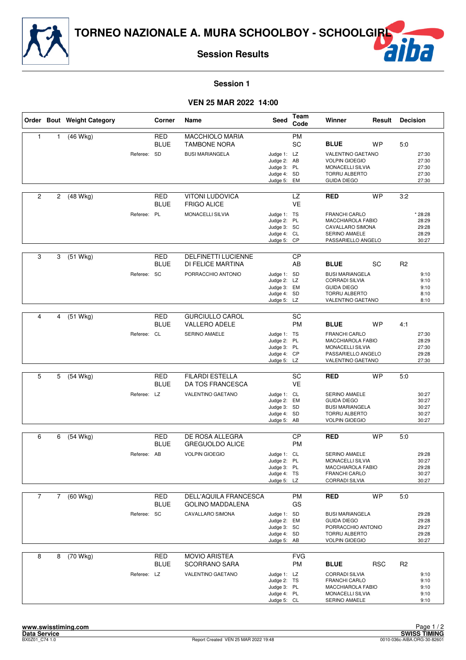



### **Session 1**

## **VEN 25 MAR 2022 14:00**

|                |                | Order Bout Weight Category |             | Corner                    | Name                                                                    | Seed                                                                    | Team<br>Code           | Winner                                                                                                             | Result     | <b>Decision</b> |                                             |
|----------------|----------------|----------------------------|-------------|---------------------------|-------------------------------------------------------------------------|-------------------------------------------------------------------------|------------------------|--------------------------------------------------------------------------------------------------------------------|------------|-----------------|---------------------------------------------|
| $\mathbf{1}$   | 1              | (46 Wkg)                   | Referee: SD | RED<br><b>BLUE</b>        | <b>MACCHIOLO MARIA</b><br><b>TAMBONE NORA</b><br><b>BUSI MARIANGELA</b> | Judge 1: LZ                                                             | <b>PM</b><br>SC        | <b>BLUE</b><br>VALENTINO GAETANO                                                                                   | <b>WP</b>  | 5:0             | 27:30                                       |
|                |                |                            |             |                           |                                                                         | Judge 2: AB<br>Judge 3: PL<br>Judge 4: SD<br>Judge 5: EM                |                        | <b>VOLPIN GIOEGIO</b><br><b>MONACELLI SILVIA</b><br>TORRU ALBERTO<br><b>GUIDA DIEGO</b>                            |            |                 | 27:30<br>27:30<br>27:30<br>27:30            |
| $\overline{c}$ | 2              | (48 Wkg)                   |             | RED<br><b>BLUE</b>        | VITONI LUDOVICA<br><b>FRIGO ALICE</b>                                   |                                                                         | LZ<br><b>VE</b>        | <b>RED</b>                                                                                                         | <b>WP</b>  | 3:2             |                                             |
|                |                |                            | Referee: PL |                           | MONACELLI SILVIA                                                        | Judge 1: TS<br>Judge 2: PL<br>Judge 3: SC<br>Judge 4: CL<br>Judge 5: CP |                        | <b>FRANCHI CARLO</b><br>MACCHIAROLA FABIO<br>CAVALLARO SIMONA<br>SERINO AMAELE<br>PASSARIELLO ANGELO               |            |                 | * 28:28<br>28:29<br>29:28<br>28:29<br>30:27 |
| 3              | 3              | $(51$ Wkg)                 |             | <b>RED</b><br><b>BLUE</b> | <b>DELFINETTI LUCIENNE</b><br>DI FELICE MARTINA                         |                                                                         | <b>CP</b><br>AB        | <b>BLUE</b>                                                                                                        | SC         | R <sub>2</sub>  |                                             |
|                |                |                            | Referee: SC |                           | PORRACCHIO ANTONIO                                                      | Judge 1: SD<br>Judge 2: LZ<br>Judge 3: EM<br>Judge 4: SD<br>Judge 5: LZ |                        | <b>BUSI MARIANGELA</b><br><b>CORRADI SILVIA</b><br><b>GUIDA DIEGO</b><br><b>TORRU ALBERTO</b><br>VALENTINO GAETANO |            |                 | 9:10<br>9:10<br>9:10<br>8:10<br>8:10        |
|                |                |                            |             |                           |                                                                         |                                                                         |                        |                                                                                                                    |            |                 |                                             |
| 4              | 4              | (51 Wkg)                   |             | <b>RED</b><br><b>BLUE</b> | <b>GURCIULLO CAROL</b><br><b>VALLERO ADELE</b>                          |                                                                         | SC<br><b>PM</b>        | <b>BLUE</b>                                                                                                        | <b>WP</b>  | 4:1             |                                             |
|                |                |                            | Referee: CL |                           | SERINO AMAELE                                                           | Judge 1: TS<br>Judge 2: PL<br>Judge 3: PL<br>Judge 4: CP<br>Judge 5: LZ |                        | <b>FRANCHI CARLO</b><br>MACCHIAROLA FABIO<br>MONACELLI SILVIA<br>PASSARIELLO ANGELO<br>VALENTINO GAETANO           |            |                 | 27:30<br>28:29<br>27:30<br>29:28<br>27:30   |
|                |                |                            |             |                           |                                                                         |                                                                         |                        |                                                                                                                    |            |                 |                                             |
| 5              | 5              | $(54$ Wkg)                 |             | <b>RED</b><br><b>BLUE</b> | <b>FILARDI ESTELLA</b><br>DA TOS FRANCESCA                              |                                                                         | SC<br><b>VE</b>        | <b>RED</b>                                                                                                         | <b>WP</b>  | 5.0             |                                             |
|                |                |                            | Referee: LZ |                           | VALENTINO GAETANO                                                       | Judge 1: CL<br>Judge 2: EM<br>Judge 3: SD<br>Judge 4: SD<br>Judge 5: AB |                        | SERINO AMAELE<br><b>GUIDA DIEGO</b><br><b>BUSI MARIANGELA</b><br>TORRU ALBERTO<br><b>VOLPIN GIOEGIO</b>            |            |                 | 30:27<br>30:27<br>30:27<br>30:27<br>30:27   |
| 6              | 6              | (54 Wkg)                   |             | <b>RED</b><br><b>BLUE</b> | DE ROSA ALLEGRA<br><b>GREGUOLDO ALICE</b>                               |                                                                         | <b>CP</b><br><b>PM</b> | <b>RED</b>                                                                                                         | <b>WP</b>  | 5:0             |                                             |
|                |                |                            | Referee: AB |                           | <b>VOLPIN GIOEGIO</b>                                                   | Judge 1: CL<br>Judge 2: PL<br>Judge 3: PL<br>Judge 4: TS<br>Judge 5: LZ |                        | <b>SERINO AMAELE</b><br>MONACELLI SILVIA<br>MACCHIAROLA FABIO<br>FRANCHI CARLO<br><b>CORRADI SILVIA</b>            |            |                 | 29:28<br>30:27<br>29:28<br>30:27<br>30:27   |
| $\overline{7}$ | $\overline{7}$ | (60 Wkg)                   |             | RED                       | DELL'AQUILA FRANCESCA                                                   |                                                                         | PM                     | <b>RED</b>                                                                                                         | <b>WP</b>  | 5:0             |                                             |
|                |                |                            | Referee: SC | <b>BLUE</b>               | <b>GOLINO MADDALENA</b><br>CAVALLARO SIMONA                             | Judge 1: SD<br>Judge 2: EM<br>Judge 3: SC<br>Judge 4: SD<br>Judge 5: AB | GS                     | <b>BUSI MARIANGELA</b><br><b>GUIDA DIEGO</b><br>PORRACCHIO ANTONIO<br>TORRU ALBERTO<br><b>VOLPIN GIOEGIO</b>       |            |                 | 29:28<br>29:28<br>29:27<br>29:28<br>30:27   |
| 8              | 8              | (70 Wkg)                   |             | RED<br>BLUE               | <b>MOVIO ARISTEA</b><br><b>SCORRANO SARA</b>                            |                                                                         | <b>FVG</b><br>PM       | <b>BLUE</b>                                                                                                        | <b>RSC</b> | R <sub>2</sub>  |                                             |
|                |                |                            | Referee: LZ |                           | VALENTINO GAETANO                                                       | Judge 1: LZ<br>Judge 2: TS<br>Judge 3: PL<br>Judge 4: PL<br>Judge 5: CL |                        | <b>CORRADI SILVIA</b><br><b>FRANCHI CARLO</b><br>MACCHIAROLA FABIO<br>MONACELLI SILVIA<br>SERINO AMAELE            |            |                 | 9:10<br>9:10<br>9:10<br>9:10<br>9:10        |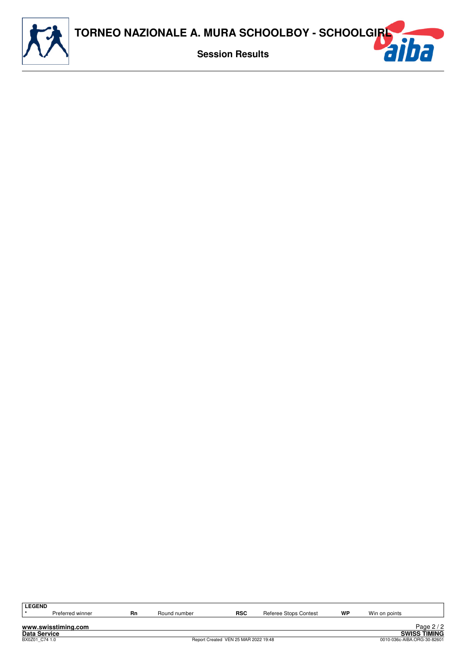

| <b>LEGEND</b>       |    |              |                                      |                       |    |               |                             |
|---------------------|----|--------------|--------------------------------------|-----------------------|----|---------------|-----------------------------|
| Preferred winner    | Rn | Round number | <b>RSC</b>                           | Referee Stops Contest | WP | Win on points |                             |
|                     |    |              |                                      |                       |    |               |                             |
| www.swisstiming.com |    |              |                                      |                       |    |               | Page $2/2$                  |
| <b>Data Service</b> |    |              |                                      |                       |    |               | <b>SWISS TIMING</b>         |
| BX0Z01 C74 1.0      |    |              | Report Created VEN 25 MAR 2022 19:48 |                       |    |               | 0010-036c-AIBA.ORG-30-82601 |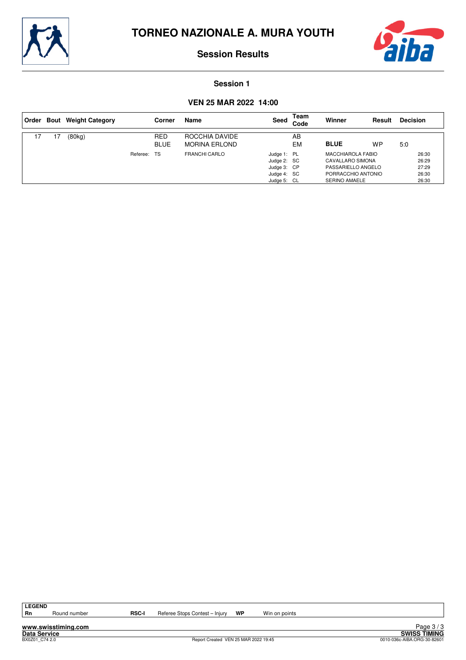



#### **Session 1**

## **VEN 25 MAR 2022 14:00**

|    |    | Order Bout Weight Category |          | Corner                    | Name                                   | Seed                                                                    | Team<br>Code | Winner                                                                                                           | Result    | <b>Decision</b>                           |
|----|----|----------------------------|----------|---------------------------|----------------------------------------|-------------------------------------------------------------------------|--------------|------------------------------------------------------------------------------------------------------------------|-----------|-------------------------------------------|
| 17 | 17 | (80kg)                     |          | <b>RED</b><br><b>BLUE</b> | ROCCHIA DAVIDE<br><b>MORINA ERLOND</b> |                                                                         | AB<br>EM     | <b>BLUE</b>                                                                                                      | <b>WP</b> | 5:0                                       |
|    |    |                            | Referee: | TS                        | <b>FRANCHI CARLO</b>                   | Judge 1: PL<br>Judge 2: SC<br>Judge 3: CP<br>Judge 4: SC<br>Judge 5: CL |              | <b>MACCHIAROLA FABIO</b><br>CAVALLARO SIMONA<br>PASSARIELLO ANGELO<br>PORRACCHIO ANTONIO<br><b>SERINO AMAELE</b> |           | 26:30<br>26:29<br>27:29<br>26:30<br>26:30 |

LEGEND<br>Rn

**www.swisstiming.com**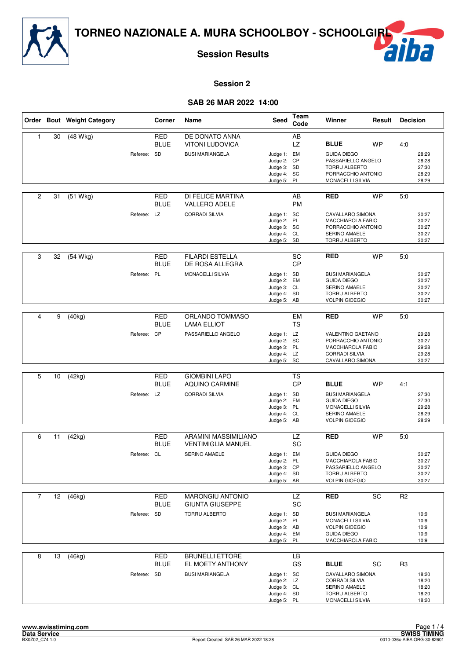

# F

### **Session 2**

# **SAB 26 MAR 2022 14:00**

|                |    | Order Bout Weight Category |             | Corner                    | Name                                              | Seed                       | Team<br>Code           | Winner                                        | Result    | <b>Decision</b> |                |
|----------------|----|----------------------------|-------------|---------------------------|---------------------------------------------------|----------------------------|------------------------|-----------------------------------------------|-----------|-----------------|----------------|
| $\mathbf{1}$   | 30 | (48 Wkg)                   |             | <b>RED</b>                | DE DONATO ANNA                                    |                            | AB                     |                                               |           |                 |                |
|                |    |                            |             | <b>BLUE</b>               | <b>VITONI LUDOVICA</b>                            |                            | LZ.                    | <b>BLUE</b>                                   | <b>WP</b> | 4:0             |                |
|                |    |                            | Referee: SD |                           | <b>BUSI MARIANGELA</b>                            | Judge 1: EM                |                        | <b>GUIDA DIEGO</b>                            |           |                 | 28:29          |
|                |    |                            |             |                           |                                                   | Judge 2: CP                |                        | PASSARIELLO ANGELO                            |           |                 | 28:28          |
|                |    |                            |             |                           |                                                   | Judge 3: SD                |                        | <b>TORRU ALBERTO</b>                          |           |                 | 27:30          |
|                |    |                            |             |                           |                                                   | Judge 4: SC<br>Judge 5: PL |                        | PORRACCHIO ANTONIO<br>MONACELLI SILVIA        |           |                 | 28:29<br>28:29 |
|                |    |                            |             |                           |                                                   |                            |                        |                                               |           |                 |                |
| 2              | 31 | $(51$ Wkg)                 |             | <b>RED</b><br><b>BLUE</b> | DI FELICE MARTINA<br><b>VALLERO ADELE</b>         |                            | AB<br><b>PM</b>        | <b>RED</b>                                    | <b>WP</b> | 5:0             |                |
|                |    |                            | Referee: LZ |                           | <b>CORRADI SILVIA</b>                             | Judge 1: SC                |                        | CAVALLARO SIMONA                              |           |                 | 30:27          |
|                |    |                            |             |                           |                                                   | Judge 2: PL                |                        | MACCHIAROLA FABIO                             |           |                 | 30:27          |
|                |    |                            |             |                           |                                                   | Judge 3: SC                |                        | PORRACCHIO ANTONIO                            |           |                 | 30:27          |
|                |    |                            |             |                           |                                                   | Judge 4: CL<br>Judge 5: SD |                        | SERINO AMAELE<br>TORRU ALBERTO                |           |                 | 30:27<br>30:27 |
|                |    |                            |             |                           |                                                   |                            |                        |                                               |           |                 |                |
| 3              | 32 | $(54$ Wkg)                 |             | RED<br><b>BLUE</b>        | <b>FILARDI ESTELLA</b><br>DE ROSA ALLEGRA         |                            | SC<br><b>CP</b>        | <b>RED</b>                                    | <b>WP</b> | 5:0             |                |
|                |    |                            | Referee: PL |                           | MONACELLI SILVIA                                  | Judge 1: SD                |                        | <b>BUSI MARIANGELA</b>                        |           |                 | 30:27          |
|                |    |                            |             |                           |                                                   | Judge 2: EM                |                        | <b>GUIDA DIEGO</b>                            |           |                 | 30:27          |
|                |    |                            |             |                           |                                                   | Judge 3: CL                |                        | SERINO AMAELE                                 |           |                 | 30:27          |
|                |    |                            |             |                           |                                                   | Judge 4: SD<br>Judge 5: AB |                        | <b>TORRU ALBERTO</b><br><b>VOLPIN GIOEGIO</b> |           |                 | 30:27<br>30:27 |
|                |    |                            |             |                           |                                                   |                            |                        |                                               |           |                 |                |
| 4              | 9  | (40kg)                     |             | <b>RED</b>                | ORLANDO TOMMASO                                   |                            | <b>EM</b>              | <b>RED</b>                                    | <b>WP</b> | 5:0             |                |
|                |    |                            |             | <b>BLUE</b>               | <b>LAMA ELLIOT</b>                                |                            | <b>TS</b>              |                                               |           |                 |                |
|                |    |                            | Referee: CP |                           | PASSARIELLO ANGELO                                | Judge 1: LZ                |                        | VALENTINO GAETANO                             |           |                 | 29:28          |
|                |    |                            |             |                           |                                                   | Judge 2: SC                |                        | PORRACCHIO ANTONIO                            |           |                 | 30:27          |
|                |    |                            |             |                           |                                                   | Judge 3: PL                |                        | MACCHIAROLA FABIO                             |           |                 | 29:28          |
|                |    |                            |             |                           |                                                   | Judge 4: LZ                |                        | <b>CORRADI SILVIA</b>                         |           |                 | 29:28          |
|                |    |                            |             |                           |                                                   | Judge 5: SC                |                        | CAVALLARO SIMONA                              |           |                 | 30:27          |
|                |    |                            |             |                           |                                                   |                            |                        |                                               |           |                 |                |
| 5              | 10 | (42kg)                     |             | <b>RED</b><br><b>BLUE</b> | <b>GIOMBINI LAPO</b><br>AQUINO CARMINE            |                            | <b>TS</b><br><b>CP</b> | <b>BLUE</b>                                   | <b>WP</b> | 4:1             |                |
|                |    |                            | Referee: LZ |                           | <b>CORRADI SILVIA</b>                             | Judge 1: SD                |                        | <b>BUSI MARIANGELA</b>                        |           |                 | 27:30          |
|                |    |                            |             |                           |                                                   | Judge 2: EM<br>Judge 3: PL |                        | <b>GUIDA DIEGO</b><br>MONACELLI SILVIA        |           |                 | 27:30<br>29:28 |
|                |    |                            |             |                           |                                                   | Judge 4: CL                |                        | SERINO AMAELE                                 |           |                 | 28:29          |
|                |    |                            |             |                           |                                                   | Judge 5: AB                |                        | <b>VOLPIN GIOEGIO</b>                         |           |                 | 28:29          |
|                |    |                            |             |                           |                                                   |                            |                        |                                               |           |                 |                |
| 6              | 11 | (42kg)                     |             | RED<br><b>BLUE</b>        | ARAMINI MASSIMILIANO<br><b>VENTIMIGLIA MANUEL</b> |                            | LZ<br>SC               | <b>RED</b>                                    | <b>WP</b> | 5:0             |                |
|                |    |                            | Referee: CL |                           | SERINO AMAELE                                     | Judge 1: EM                |                        | <b>GUIDA DIEGO</b>                            |           |                 | 30:27          |
|                |    |                            |             |                           |                                                   | Judge 2:                   | PL                     | MACCHIAROLA FABIO                             |           |                 | 30:27          |
|                |    |                            |             |                           |                                                   | Judge 3: CP<br>Judge 4: SD |                        | PASSARIELLO ANGELO<br>TORRU ALBERTO           |           |                 | 30:27<br>30:27 |
|                |    |                            |             |                           |                                                   | Judge 5: AB                |                        | <b>VOLPIN GIOEGIO</b>                         |           |                 | 30:27          |
|                |    |                            |             |                           |                                                   |                            |                        |                                               |           |                 |                |
| $\overline{7}$ | 12 | (46kg)                     |             | RED                       | <b>MARONGIU ANTONIO</b>                           |                            | <b>LZ</b>              | <b>RED</b>                                    | SC        | R <sub>2</sub>  |                |
|                |    |                            |             | <b>BLUE</b>               | <b>GIUNTA GIUSEPPE</b>                            |                            | SC                     |                                               |           |                 |                |
|                |    |                            | Referee: SD |                           | TORRU ALBERTO                                     | Judge 1: SD                |                        | <b>BUSI MARIANGELA</b>                        |           |                 | 10:9           |
|                |    |                            |             |                           |                                                   | Judge 2: PL                |                        | MONACELLI SILVIA                              |           |                 | 10:9           |
|                |    |                            |             |                           |                                                   | Judge 3: AB                |                        | <b>VOLPIN GIOEGIO</b>                         |           |                 | 10:9           |
|                |    |                            |             |                           |                                                   | Judge 4: EM<br>Judge 5: PL |                        | <b>GUIDA DIEGO</b><br>MACCHIAROLA FABIO       |           |                 | 10:9<br>10:9   |
|                |    |                            |             |                           |                                                   |                            |                        |                                               |           |                 |                |
| 8              | 13 | (46kg)                     |             | <b>RED</b>                | <b>BRUNELLI ETTORE</b>                            |                            | <b>LB</b>              |                                               |           |                 |                |
|                |    |                            |             | <b>BLUE</b>               | EL MOETY ANTHONY                                  |                            | GS                     | <b>BLUE</b>                                   | SC        | R <sub>3</sub>  |                |
|                |    |                            |             |                           | <b>BUSI MARIANGELA</b>                            |                            |                        | CAVALLARO SIMONA                              |           |                 |                |
|                |    |                            | Referee: SD |                           |                                                   | Judge 1: SC<br>Judge 2: LZ |                        | <b>CORRADI SILVIA</b>                         |           |                 | 18:20<br>18:20 |
|                |    |                            |             |                           |                                                   | Judge 3: CL                |                        | SERINO AMAELE                                 |           |                 | 18:20          |
|                |    |                            |             |                           |                                                   | Judge 4: SD                |                        | TORRU ALBERTO                                 |           |                 | 18:20          |
|                |    |                            |             |                           |                                                   | Judge 5: PL                |                        | MONACELLI SILVIA                              |           |                 | 18:20          |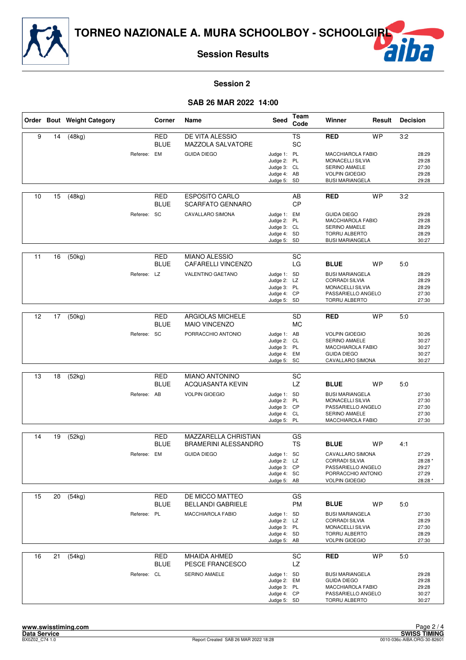

# F

## **Session 2**

# **SAB 26 MAR 2022 14:00**

|                   |    | Order Bout Weight Category |             | Corner                    | Name                                                                        | Seed                                                                    | Team<br>Code    | Winner                                                                                                                              | Result    | <b>Decision</b> |                                               |
|-------------------|----|----------------------------|-------------|---------------------------|-----------------------------------------------------------------------------|-------------------------------------------------------------------------|-----------------|-------------------------------------------------------------------------------------------------------------------------------------|-----------|-----------------|-----------------------------------------------|
| 9                 | 14 | (48kg)                     | Referee: EM | <b>RED</b><br><b>BLUE</b> | DE VITA ALESSIO<br><b>MAZZOLA SALVATORE</b><br><b>GUIDA DIEGO</b>           | Judge 1: PL<br>Judge 2: PL<br>Judge 3: CL<br>Judge 4: AB<br>Judge 5: SD | <b>TS</b><br>SC | <b>RED</b><br>MACCHIAROLA FABIO<br>MONACELLI SILVIA<br>SERINO AMAELE<br><b>VOLPIN GIOEGIO</b><br><b>BUSI MARIANGELA</b>             | <b>WP</b> | 3:2             | 28:29<br>29:28<br>27:30<br>29:28<br>29:28     |
| 10                | 15 | (48kg)                     | Referee: SC | <b>RED</b><br><b>BLUE</b> | <b>ESPOSITO CARLO</b><br><b>SCARFATO GENNARO</b><br><b>CAVALLARO SIMONA</b> | Judge 1: EM<br>Judge 2: PL<br>Judge 3: CL<br>Judge 4: SD<br>Judge 5: SD | AB<br><b>CP</b> | <b>RED</b><br><b>GUIDA DIEGO</b><br>MACCHIAROLA FABIO<br>SERINO AMAELE<br><b>TORRU ALBERTO</b><br><b>BUSI MARIANGELA</b>            | <b>WP</b> | 3:2             | 29:28<br>29:28<br>28:29<br>28:29<br>30:27     |
| 11                | 16 | (50kg)                     | Referee: LZ | RED<br><b>BLUE</b>        | <b>MIANO ALESSIO</b><br>CAFARELLI VINCENZO<br>VALENTINO GAETANO             | Judge 1: SD<br>Judge 2: LZ<br>Judge 3: PL<br>Judge 4: CP<br>Judge 5: SD | SC<br>LG        | <b>BLUE</b><br><b>BUSI MARIANGELA</b><br><b>CORRADI SILVIA</b><br>MONACELLI SILVIA<br>PASSARIELLO ANGELO<br>TORRU ALBERTO           | <b>WP</b> | 5:0             | 28:29<br>28:29<br>28:29<br>27:30<br>27:30     |
| $12 \overline{ }$ | 17 | (50kg)                     | Referee: SC | <b>RED</b><br><b>BLUE</b> | <b>ARGIOLAS MICHELE</b><br><b>MAIO VINCENZO</b><br>PORRACCHIO ANTONIO       | Judge 1: AB<br>Judge 2: CL<br>Judge 3: PL<br>Judge 4: EM<br>Judge 5: SC | SD<br><b>MC</b> | <b>RED</b><br><b>VOLPIN GIOEGIO</b><br>SERINO AMAELE<br>MACCHIAROLA FABIO<br><b>GUIDA DIEGO</b><br>CAVALLARO SIMONA                 | <b>WP</b> | 5:0             | 30:26<br>30:27<br>30:27<br>30:27<br>30:27     |
| 13                | 18 | (52kg)                     | Referee: AB | <b>RED</b><br><b>BLUE</b> | <b>MIANO ANTONINO</b><br><b>ACQUASANTA KEVIN</b><br><b>VOLPIN GIOEGIO</b>   | Judge 1: SD<br>Judge 2: PL<br>Judge 3: CP<br>Judge 4: CL<br>Judge 5: PL | SC<br>LZ        | <b>BLUE</b><br><b>BUSI MARIANGELA</b><br>MONACELLI SILVIA<br>PASSARIELLO ANGELO<br><b>SERINO AMAELE</b><br>MACCHIAROLA FABIO        | <b>WP</b> | 5:0             | 27:30<br>27:30<br>27:30<br>27:30<br>27:30     |
| 14                | 19 | (52kg)                     | Referee: EM | <b>RED</b><br><b>BLUE</b> | MAZZARELLA CHRISTIAN<br><b>BRAMERINI ALESSANDRO</b><br><b>GUIDA DIEGO</b>   | Judge 1: SC<br>Judge 2: LZ<br>Judge 3: CP<br>Judge 4: SC<br>Judge 5: AB | GS<br><b>TS</b> | <b>BLUE</b><br>CAVALLARO SIMONA<br><b>CORRADI SILVIA</b><br>PASSARIELLO ANGELO<br>PORRACCHIO ANTONIO<br><b>VOLPIN GIOEGIO</b>       | <b>WP</b> | 4:1             | 27:29<br>28:28 *<br>29:27<br>27:29<br>28:28 * |
| 15                | 20 | (54kg)                     | Referee: PL | RED<br><b>BLUE</b>        | DE MICCO MATTEO<br><b>BELLANDI GABRIELE</b><br>MACCHIAROLA FABIO            | Judge 1: SD<br>Judge 2: LZ<br>Judge 3: PL<br>Judge 4: SD<br>Judge 5: AB | GS<br>PM        | <b>BLUE</b><br><b>BUSI MARIANGELA</b><br><b>CORRADI SILVIA</b><br>MONACELLI SILVIA<br><b>TORRU ALBERTO</b><br><b>VOLPIN GIOEGIO</b> | WP        | 5:0             | 27:30<br>28:29<br>27:30<br>28:29<br>27:30     |
| 16                | 21 | (54kg)                     | Referee: CL | RED<br><b>BLUE</b>        | MHAIDA AHMED<br>PESCE FRANCESCO<br>SERINO AMAELE                            | Judge 1: SD<br>Judge 2: EM<br>Judge 3: PL<br>Judge 4: CP<br>Judge 5: SD | SC<br>LZ        | <b>RED</b><br><b>BUSI MARIANGELA</b><br><b>GUIDA DIEGO</b><br>MACCHIAROLA FABIO<br>PASSARIELLO ANGELO<br>TORRU ALBERTO              | <b>WP</b> | 5.0             | 29:28<br>29:28<br>29:28<br>30:27<br>30:27     |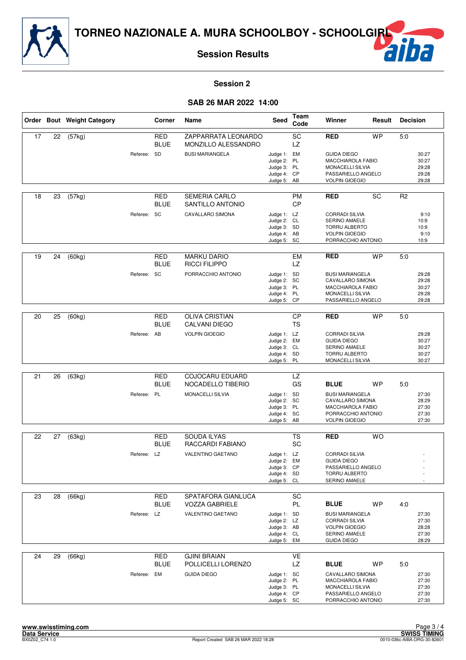

# F

## **Session 2**

## **SAB 26 MAR 2022 14:00**

|    |    | Order Bout Weight Category |             | Corner                    | Name                                        | Seed                                                                    | <b>Team</b><br>Code          | Winner                                                                                                                      | Result    | <b>Decision</b> |                                           |
|----|----|----------------------------|-------------|---------------------------|---------------------------------------------|-------------------------------------------------------------------------|------------------------------|-----------------------------------------------------------------------------------------------------------------------------|-----------|-----------------|-------------------------------------------|
| 17 | 22 | (57kg)                     |             | <b>RED</b><br><b>BLUE</b> | ZAPPARRATA LEONARDO<br>MONZILLO ALESSANDRO  |                                                                         | SC<br><b>LZ</b>              | <b>RED</b>                                                                                                                  | <b>WP</b> | 5:0             |                                           |
|    |    |                            | Referee: SD |                           | <b>BUSI MARIANGELA</b>                      | Judge 1: EM<br>Judge 2: PL<br>Judge 3: PL<br>Judge 4: CP<br>Judge 5: AB |                              | <b>GUIDA DIEGO</b><br>MACCHIAROLA FABIO<br><b>MONACELLI SILVIA</b><br>PASSARIELLO ANGELO<br><b>VOLPIN GIOEGIO</b>           |           |                 | 30:27<br>30:27<br>29:28<br>29:28<br>29:28 |
| 18 | 23 | (57kg)                     |             | RED<br><b>BLUE</b>        | <b>SEMERIA CARLO</b><br>SANTILLO ANTONIO    |                                                                         | <b>PM</b><br><b>CP</b>       | <b>RED</b>                                                                                                                  | SC        | R <sub>2</sub>  |                                           |
|    |    |                            | Referee: SC |                           | CAVALLARO SIMONA                            | Judge 1: LZ<br>Judge 2: CL<br>Judge 3: SD<br>Judge 4: AB<br>Judge 5: SC |                              | <b>CORRADI SILVIA</b><br><b>SERINO AMAELE</b><br><b>TORRU ALBERTO</b><br><b>VOLPIN GIOEGIO</b><br>PORRACCHIO ANTONIO        |           |                 | 9:10<br>10:9<br>10:9<br>9:10<br>10:9      |
| 19 | 24 | (60kg)                     |             | <b>RED</b><br><b>BLUE</b> | <b>MARKU DARIO</b><br><b>RICCI FILIPPO</b>  |                                                                         | <b>EM</b><br>LZ              | <b>RED</b>                                                                                                                  | <b>WP</b> | 5:0             |                                           |
|    |    |                            | Referee: SC |                           | PORRACCHIO ANTONIO                          | Judge 1: SD<br>Judge 2: SC<br>Judge 3: PL<br>Judge 4: PL<br>Judge 5: CP |                              | <b>BUSI MARIANGELA</b><br>CAVALLARO SIMONA<br><b>MACCHIAROLA FABIO</b><br>MONACELLI SILVIA<br>PASSARIELLO ANGELO            |           |                 | 29:28<br>29:28<br>30:27<br>29:28<br>29:28 |
|    |    |                            |             |                           |                                             |                                                                         |                              |                                                                                                                             |           |                 |                                           |
| 20 | 25 | (60kg)                     |             | <b>RED</b><br><b>BLUE</b> | <b>OLIVA CRISTIAN</b><br>CALVANI DIEGO      |                                                                         | $\overline{CP}$<br><b>TS</b> | <b>RED</b>                                                                                                                  | <b>WP</b> | 5:0             |                                           |
|    |    |                            | Referee: AB |                           | <b>VOLPIN GIOEGIO</b>                       | Judge 1: LZ<br>Judge 2: EM<br>Judge 3: CL<br>Judge 4: SD<br>Judge 5: PL |                              | <b>CORRADI SILVIA</b><br><b>GUIDA DIEGO</b><br><b>SERINO AMAELE</b><br>TORRU ALBERTO<br>MONACELLI SILVIA                    |           |                 | 29:28<br>30:27<br>30:27<br>30:27<br>30:27 |
|    |    |                            |             |                           |                                             |                                                                         |                              |                                                                                                                             |           |                 |                                           |
| 21 | 26 | (63kg)                     |             | <b>RED</b><br><b>BLUE</b> | <b>COJOCARU EDUARD</b><br>NOCADELLO TIBERIO |                                                                         | LZ<br>GS                     | <b>BLUE</b>                                                                                                                 | <b>WP</b> | 5:0             |                                           |
|    |    |                            | Referee: PL |                           | MONACELLI SILVIA                            | Judge 1: SD<br>Judge 2: SC<br>Judge 3: PL<br>Judge 4: SC<br>Judge 5: AB |                              | <b>BUSI MARIANGELA</b><br>CAVALLARO SIMONA<br>MACCHIAROLA FABIO<br>PORRACCHIO ANTONIO<br><b>VOLPIN GIOEGIO</b>              |           |                 | 27:30<br>28:29<br>27:30<br>27:30<br>27:30 |
| 22 | 27 | (63kg)                     |             | RED                       | <b>SOUDA ILYAS</b>                          |                                                                         | <b>TS</b>                    | <b>RED</b>                                                                                                                  | <b>WO</b> |                 |                                           |
|    |    |                            |             | <b>BLUE</b>               | RACCARDI FABIANO                            |                                                                         | SC                           |                                                                                                                             |           |                 |                                           |
|    |    |                            | Referee: LZ |                           | <b>VALENTINO GAETANO</b>                    | Judge 1: LZ<br>Judge 2: EM<br>Judge 3: CP<br>Judge 4: SD<br>Judge 5: CL |                              | <b>CORRADI SILVIA</b><br><b>GUIDA DIEGO</b><br>PASSARIELLO ANGELO<br>TORRU ALBERTO<br>SERINO AMAELE                         |           |                 |                                           |
| 23 | 28 | (66kg)                     |             | <b>RED</b>                | SPATAFORA GIANLUCA                          |                                                                         | SC                           |                                                                                                                             |           |                 |                                           |
|    |    |                            |             | <b>BLUE</b>               | <b>VOZZA GABRIELE</b>                       |                                                                         | <b>PL</b>                    | <b>BLUE</b>                                                                                                                 | <b>WP</b> | 4.0             |                                           |
|    |    |                            | Referee: LZ |                           | VALENTINO GAETANO                           | Judge 1: SD<br>Judge 2: LZ<br>Judge 3: AB<br>Judge 4: CL<br>Judge 5: EM |                              | <b>BUSI MARIANGELA</b><br><b>CORRADI SILVIA</b><br><b>VOLPIN GIOEGIO</b><br>SERINO AMAELE<br><b>GUIDA DIEGO</b>             |           |                 | 27:30<br>27:30<br>28:28<br>27:30<br>28:29 |
| 24 | 29 | (66kg)                     |             | <b>RED</b>                | <b>GJINI BRAIAN</b>                         |                                                                         | VE                           |                                                                                                                             |           |                 |                                           |
|    |    |                            | Referee: EM | <b>BLUE</b>               | POLLICELLI LORENZO<br><b>GUIDA DIEGO</b>    | Judge 1: SC<br>Judge 2: PL<br>Judge 3: PL<br>Judge 4: CP<br>Judge 5: SC | LZ                           | <b>BLUE</b><br>CAVALLARO SIMONA<br>MACCHIAROLA FABIO<br><b>MONACELLI SILVIA</b><br>PASSARIELLO ANGELO<br>PORRACCHIO ANTONIO | WP        | 5:0             | 27:30<br>27:30<br>27:30<br>27:30<br>27:30 |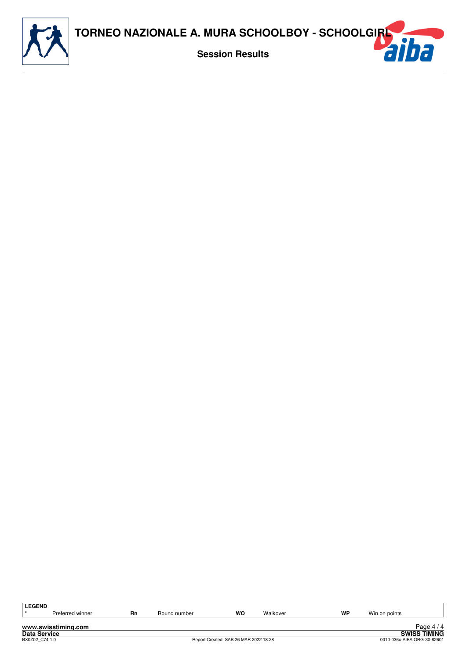

| <b>LEGEND</b>       |    |              |                                      |          |    |               |                             |
|---------------------|----|--------------|--------------------------------------|----------|----|---------------|-----------------------------|
|                     |    |              |                                      |          |    |               |                             |
| Preferred winner    | Rn | Round number | wo                                   | Walkover | WP | Win on points |                             |
|                     |    |              |                                      |          |    |               |                             |
| www.swisstiming.com |    |              |                                      |          |    |               | Page $4/4$                  |
| <b>Data Service</b> |    |              |                                      |          |    |               | <b>SWISS TIMING</b>         |
|                     |    |              |                                      |          |    |               |                             |
| BX0Z02 C74 1.0      |    |              | Report Created SAB 26 MAR 2022 18:28 |          |    |               | 0010-036c-AIBA.ORG-30-82601 |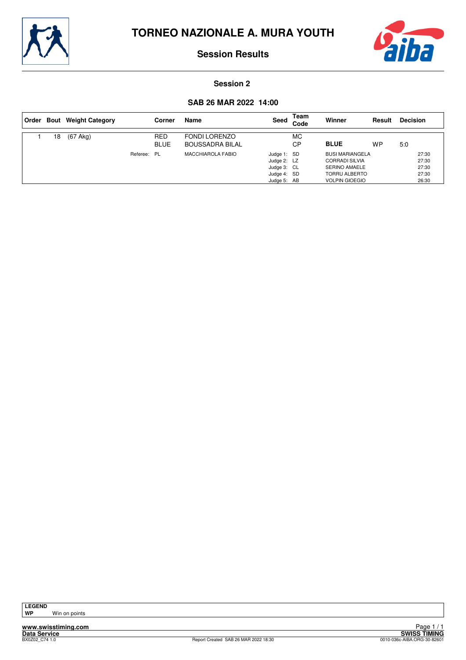



### **Session 2**

## **SAB 26 MAR 2022 14:00**

| ∣ Order |    | <b>Bout</b> Weight Category |             | Corner                    | Name                                           | Seed                                                                    | Team<br>Code | Winner                                                                                                                   | Result    | <b>Decision</b>                           |
|---------|----|-----------------------------|-------------|---------------------------|------------------------------------------------|-------------------------------------------------------------------------|--------------|--------------------------------------------------------------------------------------------------------------------------|-----------|-------------------------------------------|
|         | 18 | $(67$ Akg)                  |             | <b>RED</b><br><b>BLUE</b> | <b>FONDI LORENZO</b><br><b>BOUSSADRA BILAL</b> |                                                                         | МC<br>CP     | <b>BLUE</b>                                                                                                              | <b>WP</b> | 5:0                                       |
|         |    |                             | Referee: PL |                           | <b>MACCHIAROLA FABIO</b>                       | Judge 1: SD<br>Judge 2: LZ<br>Judge 3: CL<br>Judge 4: SD<br>Judge 5: AB |              | <b>BUSI MARIANGELA</b><br><b>CORRADI SILVIA</b><br><b>SERINO AMAELE</b><br><b>TORRU ALBERTO</b><br><b>VOLPIN GIOEGIO</b> |           | 27:30<br>27:30<br>27:30<br>27:30<br>26:30 |

**Win on points**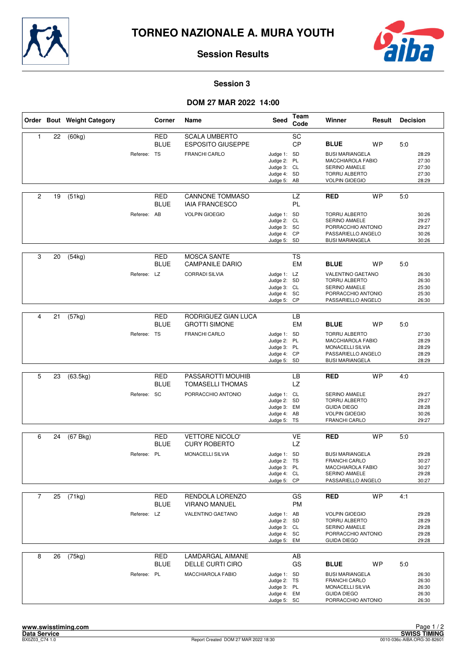



### **Session 3**

|                |    | Order Bout Weight Category |             | Corner                    | Name                                             | Seed                                                                    | Team<br>Code    | Winner                                                                                                                      | Result    | <b>Decision</b> |                                           |
|----------------|----|----------------------------|-------------|---------------------------|--------------------------------------------------|-------------------------------------------------------------------------|-----------------|-----------------------------------------------------------------------------------------------------------------------------|-----------|-----------------|-------------------------------------------|
| 1              | 22 | (60kg)                     |             | <b>RED</b><br><b>BLUE</b> | <b>SCALA UMBERTO</b><br><b>ESPOSITO GIUSEPPE</b> |                                                                         | SC<br>CP        | <b>BLUE</b>                                                                                                                 | WP        | 5:0             |                                           |
|                |    |                            | Referee: TS |                           | <b>FRANCHI CARLO</b>                             | Judge 1: SD<br>Judge 2: PL<br>Judge 3: CL<br>Judge 4: SD<br>Judge 5: AB |                 | <b>BUSI MARIANGELA</b><br><b>MACCHIAROLA FABIO</b><br><b>SERINO AMAELE</b><br><b>TORRU ALBERTO</b><br><b>VOLPIN GIOEGIO</b> |           |                 | 28:29<br>27:30<br>27:30<br>27:30<br>28:29 |
| 2              | 19 | (51kg)                     |             | <b>RED</b><br><b>BLUE</b> | <b>CANNONE TOMMASO</b><br><b>IAIA FRANCESCO</b>  |                                                                         | LZ<br>PL        | <b>RED</b>                                                                                                                  | <b>WP</b> | 5:0             |                                           |
|                |    |                            | Referee: AB |                           | <b>VOLPIN GIOEGIO</b>                            | Judge 1: SD<br>Judge 2: CL<br>Judge 3: SC<br>Judge 4: CP<br>Judge 5: SD |                 | <b>TORRU ALBERTO</b><br>SERINO AMAELE<br>PORRACCHIO ANTONIO<br>PASSARIELLO ANGELO<br><b>BUSI MARIANGELA</b>                 |           |                 | 30:26<br>29:27<br>29:27<br>30:26<br>30:26 |
| 3              | 20 | (54kg)                     |             | RED<br><b>BLUE</b>        | <b>MOSCA SANTE</b><br><b>CAMPANILE DARIO</b>     |                                                                         | <b>TS</b><br>EM | <b>BLUE</b>                                                                                                                 | <b>WP</b> | 5:0             |                                           |
|                |    |                            | Referee: LZ |                           | <b>CORRADI SILVIA</b>                            | Judge 1: LZ<br>Judge 2: SD<br>Judge 3: CL<br>Judge 4: SC<br>Judge 5: CP |                 | VALENTINO GAETANO<br>TORRU ALBERTO<br><b>SERINO AMAELE</b><br>PORRACCHIO ANTONIO<br>PASSARIELLO ANGELO                      |           |                 | 26:30<br>26:30<br>25:30<br>25:30<br>26:30 |
|                |    |                            |             |                           |                                                  |                                                                         |                 |                                                                                                                             |           |                 |                                           |
| 4              | 21 | (57kg)                     |             | <b>RED</b><br><b>BLUE</b> | RODRIGUEZ GIAN LUCA<br><b>GROTTI SIMONE</b>      |                                                                         | LB<br><b>EM</b> | <b>BLUE</b>                                                                                                                 | WP        | 5:0             |                                           |
|                |    |                            | Referee: TS |                           | <b>FRANCHI CARLO</b>                             | Judge 1: SD<br>Judge 2: PL<br>Judge 3: PL<br>Judge 4: CP<br>Judge 5: SD |                 | <b>TORRU ALBERTO</b><br>MACCHIAROLA FABIO<br>MONACELLI SILVIA<br>PASSARIELLO ANGELO<br><b>BUSI MARIANGELA</b>               |           |                 | 27:30<br>28:29<br>28:29<br>28:29<br>28:29 |
|                |    |                            |             |                           |                                                  |                                                                         |                 |                                                                                                                             |           |                 |                                           |
| 5              | 23 | (63.5kg)                   |             | <b>RED</b><br><b>BLUE</b> | PASSAROTTI MOUHIB<br><b>TOMASELLI THOMAS</b>     |                                                                         | LB<br><b>LZ</b> | <b>RED</b>                                                                                                                  | <b>WP</b> | 4:0             |                                           |
|                |    |                            | Referee: SC |                           | PORRACCHIO ANTONIO                               | Judge 1: CL<br>Judge 2: SD<br>Judge 3: EM<br>Judge 4: AB<br>Judge 5: TS |                 | SERINO AMAELE<br>TORRU ALBERTO<br><b>GUIDA DIEGO</b><br><b>VOLPIN GIOEGIO</b><br><b>FRANCHI CARLO</b>                       |           |                 | 29:27<br>29:27<br>28:28<br>30:26<br>29:27 |
| 6              | 24 | (67 Bkg)                   |             | RED                       | <b>VETTORE NICOLO'</b>                           |                                                                         | VE              | <b>RED</b>                                                                                                                  | <b>WP</b> | 5:0             |                                           |
|                |    |                            |             | <b>BLUE</b>               | <b>CURY ROBERTO</b>                              |                                                                         | LZ              |                                                                                                                             |           |                 |                                           |
|                |    |                            | Referee: PL |                           | MONACELLI SILVIA                                 | Judge 1: SD<br>Judge 2: TS<br>Judge 3: PL<br>Judge 4: CL<br>Judge 5: CP |                 | <b>BUSI MARIANGELA</b><br>FRANCHI CARLO<br>MACCHIAROLA FABIO<br>SERINO AMAELE<br>PASSARIELLO ANGELO                         |           |                 | 29:28<br>30:27<br>30:27<br>29:28<br>30:27 |
| $\overline{7}$ | 25 | (71kg)                     |             | RED<br><b>BLUE</b>        | RENDOLA LORENZO<br><b>VIRANO MANUEL</b>          |                                                                         | GS<br><b>PM</b> | <b>RED</b>                                                                                                                  | <b>WP</b> | 4:1             |                                           |
|                |    |                            | Referee: LZ |                           | VALENTINO GAETANO                                | Judge 1: AB<br>Judge 2: SD<br>Judge 3: CL<br>Judge 4: SC<br>Judge 5: EM |                 | <b>VOLPIN GIOEGIO</b><br><b>TORRU ALBERTO</b><br>SERINO AMAELE<br>PORRACCHIO ANTONIO<br><b>GUIDA DIEGO</b>                  |           |                 | 29:28<br>28:29<br>29:28<br>29:28<br>29:28 |
| 8              | 26 | (75kg)                     |             | RED<br><b>BLUE</b>        | LAMDARGAL AIMANE<br>DELLE CURTI CIRO             |                                                                         | AB<br>GS        | <b>BLUE</b>                                                                                                                 | <b>WP</b> | 5:0             |                                           |
|                |    |                            | Referee: PL |                           | MACCHIAROLA FABIO                                | Judge 1: SD<br>Judge 2: TS<br>Judge 3: PL<br>Judge 4: EM<br>Judge 5: SC |                 | <b>BUSI MARIANGELA</b><br><b>FRANCHI CARLO</b><br>MONACELLI SILVIA<br><b>GUIDA DIEGO</b><br>PORRACCHIO ANTONIO              |           |                 | 26:30<br>26:30<br>26:30<br>26:30<br>26:30 |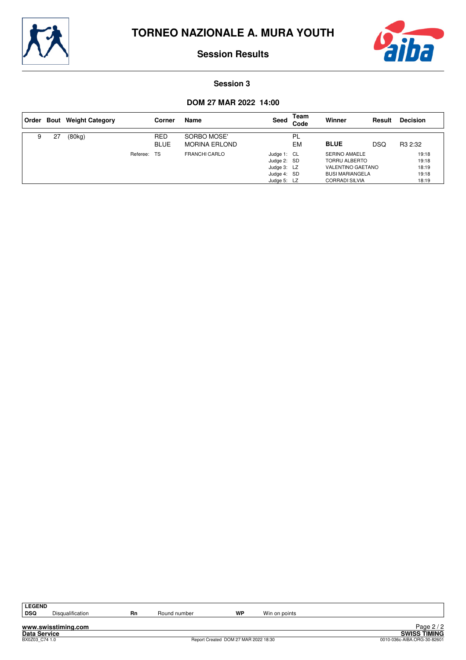



#### **Session 3**

| Order |    | <b>Bout</b> Weight Category |             | Corner                    | Name                                | Seed                                                                    | Team<br>Code    | Winner                                                                                                                      | Result | <b>Decision</b>                           |
|-------|----|-----------------------------|-------------|---------------------------|-------------------------------------|-------------------------------------------------------------------------|-----------------|-----------------------------------------------------------------------------------------------------------------------------|--------|-------------------------------------------|
| 9     | 27 | (80kg)                      |             | <b>RED</b><br><b>BLUE</b> | SORBO MOSE'<br><b>MORINA ERLOND</b> |                                                                         | PL<br><b>EM</b> | <b>BLUE</b>                                                                                                                 | DSQ    | R <sub>3</sub> 2:32                       |
|       |    |                             | Referee: TS |                           | <b>FRANCHI CARLO</b>                | Judge 1: CL<br>Judge 2: SD<br>Judge 3: LZ<br>Judge 4: SD<br>Judge 5: LZ |                 | <b>SERINO AMAELE</b><br><b>TORRU ALBERTO</b><br><b>VALENTINO GAETANO</b><br><b>BUSI MARIANGELA</b><br><b>CORRADI SILVIA</b> |        | 19:18<br>19:18<br>18:19<br>19:18<br>18:19 |

| GH<br>n<br>.,<br>N<br>L. |
|--------------------------|
| ÷                        |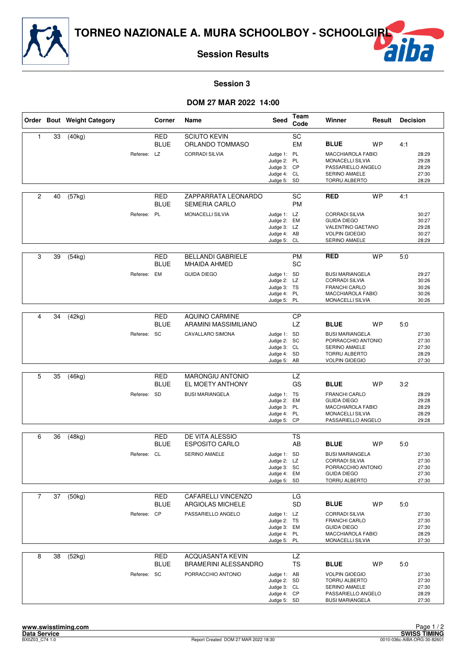

# F

## **Session 3**

|                |    | Order Bout Weight Category |             | Corner                    | Name                                                                         | Seed                                                                    | Team<br>Code    | Winner                                                                                                                                         | Result    | <b>Decision</b>                                  |                                           |
|----------------|----|----------------------------|-------------|---------------------------|------------------------------------------------------------------------------|-------------------------------------------------------------------------|-----------------|------------------------------------------------------------------------------------------------------------------------------------------------|-----------|--------------------------------------------------|-------------------------------------------|
| 1              | 33 | (40kg)                     | Referee: LZ | <b>RED</b><br><b>BLUE</b> | <b>SCIUTO KEVIN</b><br>ORLANDO TOMMASO<br><b>CORRADI SILVIA</b>              | Judge 1: PL<br>Judge 2: PL<br>Judge 3: CP<br>Judge 4: CL<br>Judge 5: SD | SC<br><b>EM</b> | <b>BLUE</b><br><b>WP</b><br><b>MACCHIAROLA FABIO</b><br><b>MONACELLI SILVIA</b><br>PASSARIELLO ANGELO<br><b>SERINO AMAELE</b><br>TORRU ALBERTO |           | 4:1<br>28:29<br>29:28<br>28:29<br>27:30<br>28:29 |                                           |
| $\overline{c}$ | 40 | $\overline{(57kg)}$        | Referee: PL | <b>RED</b><br><b>BLUE</b> | ZAPPARRATA LEONARDO<br><b>SEMERIA CARLO</b><br>MONACELLI SILVIA              | Judge 1: LZ<br>Judge 2: EM<br>Judge 3: LZ<br>Judge 4: AB<br>Judge 5: CL | SC<br><b>PM</b> | <b>RED</b><br><b>CORRADI SILVIA</b><br><b>GUIDA DIEGO</b><br>VALENTINO GAETANO<br><b>VOLPIN GIOEGIO</b><br>SERINO AMAELE                       | <b>WP</b> | 4:1                                              | 30:27<br>30:27<br>29:28<br>30:27<br>28:29 |
| 3              | 39 | (54kg)                     | Referee: EM | RED<br><b>BLUE</b>        | <b>BELLANDI GABRIELE</b><br><b>MHAIDA AHMED</b><br><b>GUIDA DIEGO</b>        | Judge 1: SD<br>Judge 2: LZ<br>Judge 3: TS<br>Judge 4: PL<br>Judge 5: PL | <b>PM</b><br>SC | <b>RED</b><br><b>BUSI MARIANGELA</b><br><b>CORRADI SILVIA</b><br><b>FRANCHI CARLO</b><br>MACCHIAROLA FABIO<br>MONACELLI SILVIA                 | <b>WP</b> | 5:0                                              | 29:27<br>30:26<br>30:26<br>30:26<br>30:26 |
| 4              | 34 | (42kg)                     | Referee: SC | <b>RED</b><br><b>BLUE</b> | AQUINO CARMINE<br>ARAMINI MASSIMILIANO<br>CAVALLARO SIMONA                   | Judge 1: SD<br>Judge 2: SC<br>Judge 3: CL<br>Judge 4: SD<br>Judge 5: AB | CP<br><b>LZ</b> | <b>BLUE</b><br><b>BUSI MARIANGELA</b><br>PORRACCHIO ANTONIO<br>SERINO AMAELE<br>TORRU ALBERTO<br><b>VOLPIN GIOEGIO</b>                         | WP        | 5:0                                              | 27:30<br>27:30<br>27:30<br>28:29<br>27:30 |
| 5              | 35 | (46kg)                     | Referee: SD | <b>RED</b><br><b>BLUE</b> | <b>MARONGIU ANTONIO</b><br>EL MOETY ANTHONY<br><b>BUSI MARIANGELA</b>        | Judge 1: TS<br>Judge 2: EM<br>Judge 3: PL<br>Judge 4: PL<br>Judge 5: CP | <b>LZ</b><br>GS | <b>BLUE</b><br><b>FRANCHI CARLO</b><br><b>GUIDA DIEGO</b><br>MACCHIAROLA FABIO<br><b>MONACELLI SILVIA</b><br>PASSARIELLO ANGELO                | <b>WP</b> | 3:2                                              | 28:29<br>29:28<br>28:29<br>28:29<br>29:28 |
| 6              | 36 | (48kg)                     | Referee: CL | RED<br><b>BLUE</b>        | DE VITA ALESSIO<br><b>ESPOSITO CARLO</b><br>SERINO AMAELE                    | Judge 1: SD<br>Judge 2: LZ<br>Judge 3: SC<br>Judge 4: EM<br>Judge 5: SD | TS<br>AB        | <b>BLUE</b><br><b>BUSI MARIANGELA</b><br><b>CORRADI SILVIA</b><br>PORRACCHIO ANTONIO<br><b>GUIDA DIEGO</b><br>TORRU ALBERTO                    | <b>WP</b> | 5:0                                              | 27:30<br>27:30<br>27:30<br>27:30<br>27:30 |
| $\overline{7}$ | 37 | (50kg)                     | Referee: CP | RED<br><b>BLUE</b>        | CAFARELLI VINCENZO<br>ARGIOLAS MICHELE<br>PASSARIELLO ANGELO                 | Judge 1: LZ<br>Judge 2: TS<br>Judge 3: EM<br>Judge 4: PL<br>Judge 5: PL | LG<br><b>SD</b> | <b>BLUE</b><br><b>CORRADI SILVIA</b><br><b>FRANCHI CARLO</b><br><b>GUIDA DIEGO</b><br>MACCHIAROLA FABIO<br>MONACELLI SILVIA                    | <b>WP</b> | 5:0                                              | 27:30<br>27:30<br>27:30<br>28:29<br>27:30 |
| 8              | 38 | (52kg)                     | Referee: SC | <b>RED</b><br><b>BLUE</b> | <b>ACQUASANTA KEVIN</b><br><b>BRAMERINI ALESSANDRO</b><br>PORRACCHIO ANTONIO | Judge 1: AB<br>Judge 2: SD<br>Judge 3: CL<br>Judge 4: CP<br>Judge 5: SD | LZ<br><b>TS</b> | <b>BLUE</b><br><b>VOLPIN GIOEGIO</b><br><b>TORRU ALBERTO</b><br>SERINO AMAELE<br>PASSARIELLO ANGELO<br><b>BUSI MARIANGELA</b>                  | WP        | 5:0                                              | 27:30<br>27:30<br>27:30<br>28:29<br>27:30 |